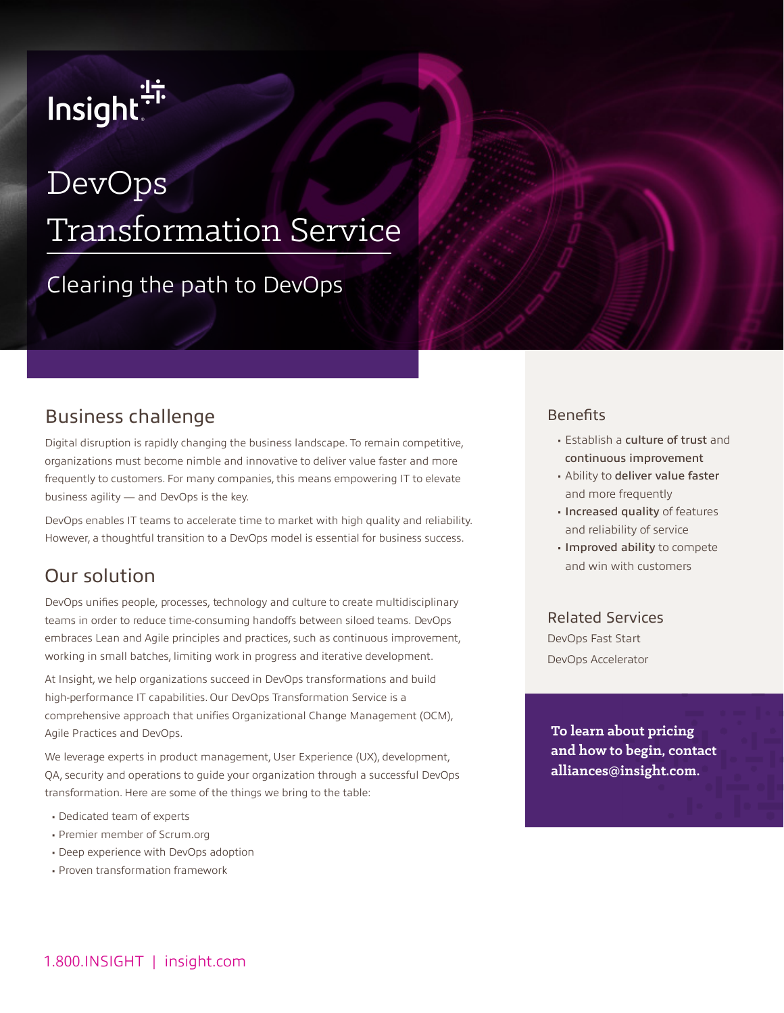# Insight.<sup>"</sup>

## DevOps Transformation Service

## Clearing the path to DevOps

## Business challenge

Digital disruption is rapidly changing the business landscape. To remain competitive, organizations must become nimble and innovative to deliver value faster and more frequently to customers. For many companies, this means empowering IT to elevate business agility — and DevOps is the key.

DevOps enables IT teams to accelerate time to market with high quality and reliability. However, a thoughtful transition to a DevOps model is essential for business success.

## Our solution

DevOps unifies people, processes, technology and culture to create multidisciplinary teams in order to reduce time-consuming handoffs between siloed teams. DevOps embraces Lean and Agile principles and practices, such as continuous improvement, working in small batches, limiting work in progress and iterative development.

At Insight, we help organizations succeed in DevOps transformations and build high-performance IT capabilities. Our DevOps Transformation Service is a comprehensive approach that unifies Organizational Change Management (OCM), Agile Practices and DevOps.

We leverage experts in product management, User Experience (UX), development, QA, security and operations to guide your organization through a successful DevOps transformation. Here are some of the things we bring to the table:

- Dedicated team of experts
- Premier member of Scrum.org
- Deep experience with DevOps adoption
- Proven transformation framework

#### **Benefits**

- Establish a culture of trust and continuous improvement
- Ability to deliver value faster and more frequently
- Increased quality of features and reliability of service
- Improved ability to compete and win with customers

#### Related Services

DevOps Fast Start DevOps Accelerator

**To learn about pricing and how to begin, contact alliances@insight.com.**